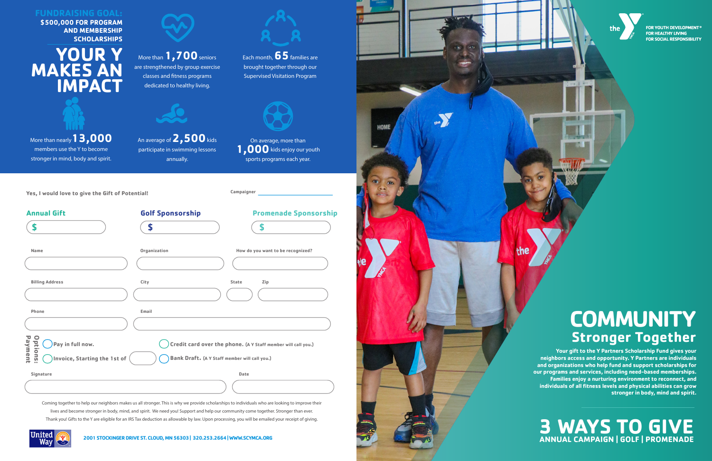

FOR YOUTH DEVELOPMENT<sup>®</sup> **FOR HEALTHY LIVING FOR SOCIAL RESPONSIBILITY** 

## **COMMUNITY Stronger Together**



United

**Your gift to the Y Partners Scholarship Fund gives your neighbors access and opportunity. Y Partners are individuals and organizations who help fund and support scholarships for our programs and services, including need-based memberships. Families enjoy a nurturing environment to reconnect, and individuals of all fitness levels and physical abilities can grow stronger in body, mind and spirit.**

## **3 WAYS TO GIVE ANNUAL CAMPAIGN | GOLF | PROMENADE**